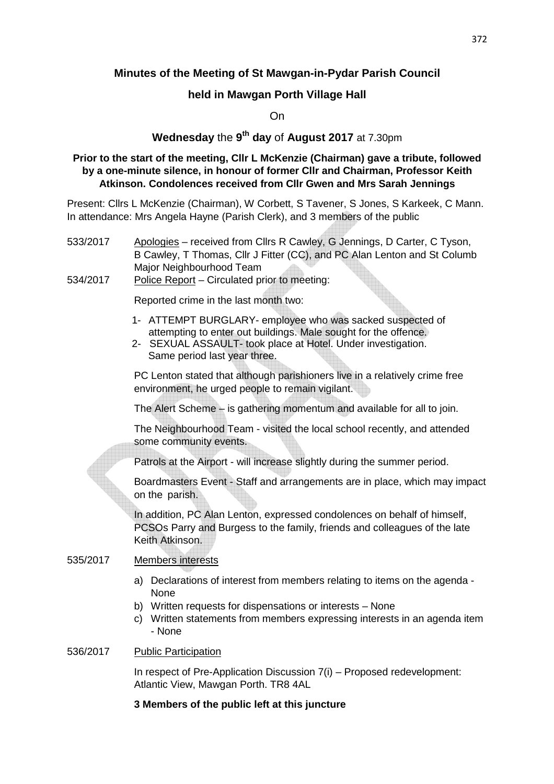# **Minutes of the Meeting of St Mawgan-in-Pydar Parish Council**

## **held in Mawgan Porth Village Hall**

On

# **Wednesday** the **9 th day** of **August 2017** at 7.30pm

#### **Prior to the start of the meeting, Cllr L McKenzie (Chairman) gave a tribute, followed by a one-minute silence, in honour of former Cllr and Chairman, Professor Keith Atkinson. Condolences received from Cllr Gwen and Mrs Sarah Jennings**

Present: Cllrs L McKenzie (Chairman), W Corbett, S Tavener, S Jones, S Karkeek, C Mann. In attendance: Mrs Angela Hayne (Parish Clerk), and 3 members of the public

- 533/2017 Apologies received from Cllrs R Cawley, G Jennings, D Carter, C Tyson, B Cawley, T Thomas, Cllr J Fitter (CC), and PC Alan Lenton and St Columb Major Neighbourhood Team
- 534/2017 Police Report Circulated prior to meeting:

Reported crime in the last month two:

- 1- ATTEMPT BURGLARY- employee who was sacked suspected of attempting to enter out buildings. Male sought for the offence.
- 2- SEXUAL ASSAULT- took place at Hotel. Under investigation. Same period last year three.

 PC Lenton stated that although parishioners live in a relatively crime free environment, he urged people to remain vigilant.

The Alert Scheme – is gathering momentum and available for all to join.

 The Neighbourhood Team - visited the local school recently, and attended some community events.

Patrols at the Airport - will increase slightly during the summer period.

 Boardmasters Event - Staff and arrangements are in place, which may impact on the parish.

 In addition, PC Alan Lenton, expressed condolences on behalf of himself, PCSOs Parry and Burgess to the family, friends and colleagues of the late Keith Atkinson.

#### 535/2017 Members interests

- a) Declarations of interest from members relating to items on the agenda None
- b) Written requests for dispensations or interests None
- c) Written statements from members expressing interests in an agenda item - None

#### 536/2017 Public Participation

 In respect of Pre-Application Discussion 7(i) – Proposed redevelopment: Atlantic View, Mawgan Porth. TR8 4AL

#### **3 Members of the public left at this juncture**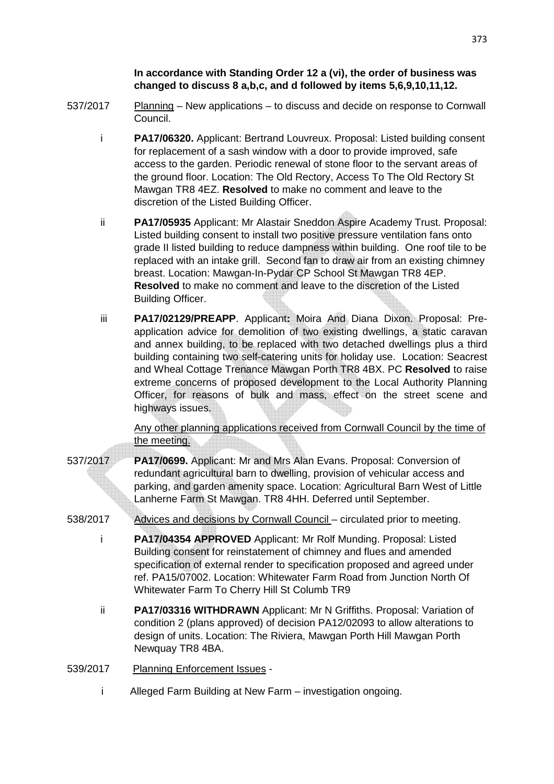#### **In accordance with Standing Order 12 a (vi), the order of business was changed to discuss 8 a,b,c, and d followed by items 5,6,9,10,11,12.**

- 537/2017 Planning New applications to discuss and decide on response to Cornwall Council.
	- i **PA17/06320.** Applicant: Bertrand Louvreux. Proposal: Listed building consent for replacement of a sash window with a door to provide improved, safe access to the garden. Periodic renewal of stone floor to the servant areas of the ground floor. Location: The Old Rectory, Access To The Old Rectory St Mawgan TR8 4EZ. **Resolved** to make no comment and leave to the discretion of the Listed Building Officer.
	- ii **PA17/05935** Applicant: Mr Alastair Sneddon Aspire Academy Trust. Proposal: Listed building consent to install two positive pressure ventilation fans onto grade II listed building to reduce dampness within building. One roof tile to be replaced with an intake grill. Second fan to draw air from an existing chimney breast. Location: Mawgan-In-Pydar CP School St Mawgan TR8 4EP. **Resolved** to make no comment and leave to the discretion of the Listed Building Officer.
	- iii **PA17/02129/PREAPP**. Applicant**:** Moira And Diana Dixon. Proposal: Preapplication advice for demolition of two existing dwellings, a static caravan and annex building, to be replaced with two detached dwellings plus a third building containing two self-catering units for holiday use. Location: Seacrest and Wheal Cottage Trenance Mawgan Porth TR8 4BX. PC **Resolved** to raise extreme concerns of proposed development to the Local Authority Planning Officer, for reasons of bulk and mass, effect on the street scene and highways issues.

 Any other planning applications received from Cornwall Council by the time of the meeting.

- 537/2017 **PA17/0699.** Applicant: Mr and Mrs Alan Evans. Proposal: Conversion of redundant agricultural barn to dwelling, provision of vehicular access and parking, and garden amenity space. Location: Agricultural Barn West of Little Lanherne Farm St Mawgan. TR8 4HH. Deferred until September.
- 538/2017 Advices and decisions by Cornwall Council circulated prior to meeting.
	- i **PA17/04354 APPROVED** Applicant: Mr Rolf Munding. Proposal: Listed Building consent for reinstatement of chimney and flues and amended specification of external render to specification proposed and agreed under ref. PA15/07002. Location: Whitewater Farm Road from Junction North Of Whitewater Farm To Cherry Hill St Columb TR9
	- ii **PA17/03316 WITHDRAWN** Applicant: Mr N Griffiths. Proposal: Variation of condition 2 (plans approved) of decision PA12/02093 to allow alterations to design of units. Location: The Riviera, Mawgan Porth Hill Mawgan Porth Newquay TR8 4BA.
- 539/2017 Planning Enforcement Issues
	- i Alleged Farm Building at New Farm investigation ongoing.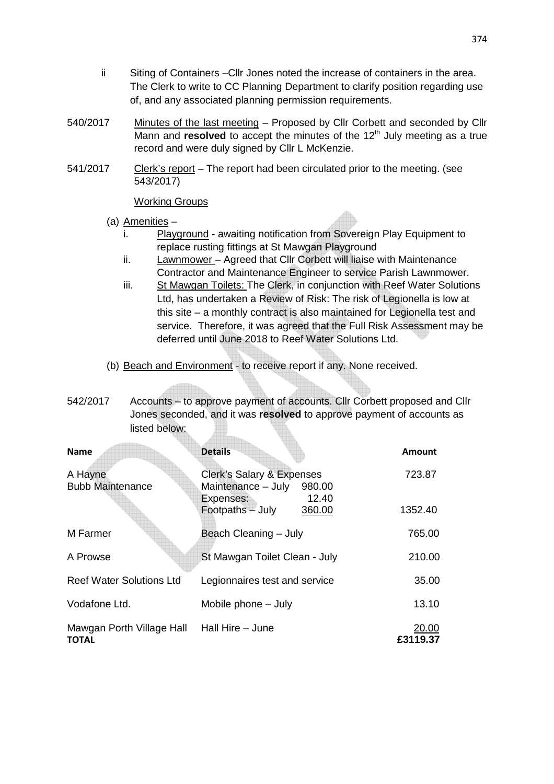- ii Siting of Containers –Cllr Jones noted the increase of containers in the area. The Clerk to write to CC Planning Department to clarify position regarding use of, and any associated planning permission requirements.
- 540/2017 Minutes of the last meeting Proposed by Cllr Corbett and seconded by Cllr Mann and **resolved** to accept the minutes of the 12<sup>th</sup> July meeting as a true record and were duly signed by Cllr L McKenzie.
- 541/2017 Clerk's report The report had been circulated prior to the meeting. (see 543/2017)

Working Groups

- (a) Amenities
	- i. Playground awaiting notification from Sovereign Play Equipment to replace rusting fittings at St Mawgan Playground
	- ii. Lawnmower Agreed that Cllr Corbett will liaise with Maintenance Contractor and Maintenance Engineer to service Parish Lawnmower.
	- iii. St Mawgan Toilets: The Clerk, in conjunction with Reef Water Solutions Ltd, has undertaken a Review of Risk: The risk of Legionella is low at this site – a monthly contract is also maintained for Legionella test and service. Therefore, it was agreed that the Full Risk Assessment may be deferred until June 2018 to Reef Water Solutions Ltd.
- (b) Beach and Environment to receive report if any. None received.
- 542/2017 Accounts to approve payment of accounts. Cllr Corbett proposed and Cllr Jones seconded, and it was **resolved** to approve payment of accounts as listed below:

| <b>Name</b>                               | <b>Details</b>                                            | <b>Amount</b>     |
|-------------------------------------------|-----------------------------------------------------------|-------------------|
| A Hayne<br><b>Bubb Maintenance</b>        | Clerk's Salary & Expenses<br>Maintenance - July<br>980.00 | 723.87            |
|                                           | 12.40<br>Expenses:<br>Footpaths - July<br>360.00          | 1352.40           |
| M Farmer                                  | Beach Cleaning - July                                     | 765.00            |
| A Prowse                                  | St Mawgan Toilet Clean - July                             | 210.00            |
| <b>Reef Water Solutions Ltd</b>           | Legionnaires test and service                             | 35.00             |
| Vodafone Ltd.                             | Mobile phone - July                                       | 13.10             |
| Mawgan Porth Village Hall<br><b>TOTAL</b> | Hall Hire - June                                          | 20.00<br>£3119.37 |